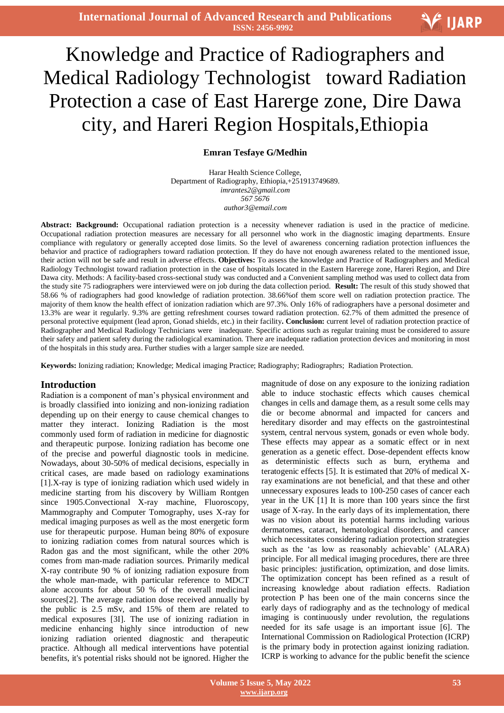# Ξ Knowledge and Practice of Radiographers and Medical Radiology Technologist toward Radiation Protection a case of East Harerge zone, Dire Dawa city, and Hareri Region Hospitals,Ethiopia

# **Emran Tesfaye G/Medhin**

Harar Health Science College, Department of Radiography, Ethiopia,+251913749689. *imrantes2@gmail.com 567 5676 author3@email.com*

**Abstract: Background:** Occupational radiation protection is a necessity whenever radiation is used in the practice of medicine. Occupational radiation protection measures are necessary for all personnel who work in the diagnostic imaging departments. Ensure compliance with regulatory or generally accepted dose limits. So the level of awareness concerning radiation protection influences the behavior and practice of radiographers toward radiation protection. If they do have not enough awareness related to the mentioned issue, their action will not be safe and result in adverse effects. **Objectives:** To assess the knowledge and Practice of Radiographers and Medical Radiology Technologist toward radiation protection in the case of hospitals located in the Eastern Harerege zone, Hareri Region, and Dire Dawa city. Methods: A facility-based cross-sectional study was conducted and a Convenient sampling method was used to collect data from the study site 75 radiographers were interviewed were on job during the data collection period. **Result:** The result of this study showed that 58.66 % of radiographers had good knowledge of radiation protection. 38.66%of them score well on radiation protection practice. The majority of them know the health effect of ionization radiation which are 97.3%. Only 16% of radiographers have a personal dosimeter and 13.3% are wear it regularly. 9.3% are getting refreshment courses toward radiation protection. 62.7% of them admitted the presence of personal protective equipment (lead apron, Gonad shields, etc.) in their facility**. Conclusion:** current level of radiation protection practice of Radiographer and Medical Radiology Technicians were inadequate. Specific actions such as regular training must be considered to assure their safety and patient safety during the radiological examination. There are inadequate radiation protection devices and monitoring in most of the hospitals in this study area. Further studies with a larger sample size are needed.

**Keywords:** Ionizing radiation; Knowledge; Medical imaging Practice; Radiography; Radiographrs; Radiation Protection.

# **Introduction**

Radiation is a component of man's physical environment and is broadly classified into ionizing and non-ionizing radiation depending up on their energy to cause chemical changes to matter they interact. Ionizing Radiation is the most commonly used form of radiation in medicine for diagnostic and therapeutic purpose. Ionizing radiation has become one of the precise and powerful diagnostic tools in medicine. Nowadays, about 30-50% of medical decisions, especially in critical cases, are made based on radiology examinations [1].X-ray is type of ionizing radiation which used widely in medicine starting from his discovery by William Rontgen since 1905.Convectional X-ray machine, Fluoroscopy, Mammography and Computer Tomography, uses X-ray for medical imaging purposes as well as the most energetic form use for therapeutic purpose. Human being 80% of exposure to ionizing radiation comes from natural sources which is Radon gas and the most significant, while the other 20% comes from man-made radiation sources. Primarily medical X-ray contribute 90 % of ionizing radiation exposure from the whole man-made, with particular reference to MDCT alone accounts for about 50 % of the overall medicinal sources[2]. The average radiation dose received annually by the public is 2.5 mSv, and 15% of them are related to medical exposures [3I]. The use of ionizing radiation in medicine enhancing highly since introduction of new ionizing radiation oriented diagnostic and therapeutic practice. Although all medical interventions have potential benefits, it's potential risks should not be ignored. Higher the

magnitude of dose on any exposure to the ionizing radiation able to induce stochastic effects which causes chemical changes in cells and damage them, as a result some cells may die or become abnormal and impacted for cancers and hereditary disorder and may effects on the gastrointestinal system, central nervous system, gonads or even whole body. These effects may appear as a somatic effect or in next generation as a genetic effect. Dose-dependent effects know as deterministic effects such as burn, erythema and teratogenic effects [5]. It is estimated that 20% of medical Xray examinations are not beneficial, and that these and other unnecessary exposures leads to 100-250 cases of cancer each year in the UK [1] It is more than 100 years since the first usage of X-ray. In the early days of its implementation, there was no vision about its potential harms including various dermatomes, cataract, hematological disorders, and cancer which necessitates considering radiation protection strategies such as the 'as low as reasonably achievable' (ALARA) principle. For all medical imaging procedures, there are three basic principles: justification, optimization, and dose limits. The optimization concept has been refined as a result of increasing knowledge about radiation effects. Radiation protection P has been one of the main concerns since the early days of radiography and as the technology of medical imaging is continuously under revolution, the regulations needed for its safe usage is an important issue [6]. The International Commission on Radiological Protection (ICRP) is the primary body in protection against ionizing radiation. ICRP is working to advance for the public benefit the science

**V IJARP**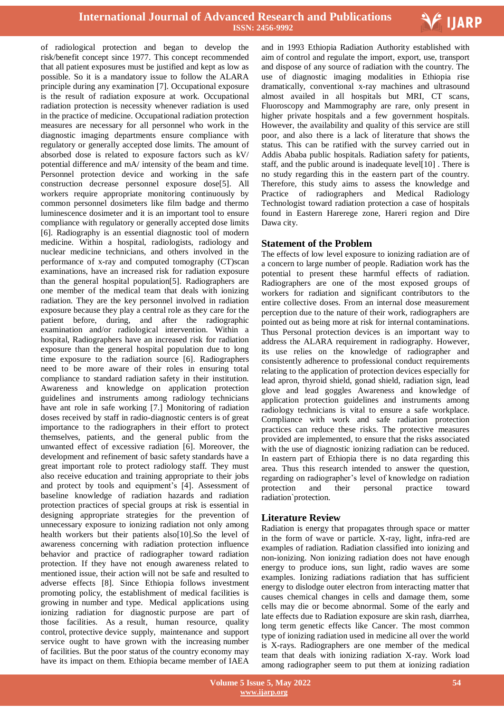

of radiological protection and began to develop the risk/benefit concept since 1977. This concept recommended that all patient exposures must be justified and kept as low as possible. So it is a mandatory issue to follow the ALARA principle during any examination [7]. Occupational exposure is the result of radiation exposure at work. Occupational radiation protection is necessity whenever radiation is used in the practice of medicine. Occupational radiation protection measures are necessary for all personnel who work in the diagnostic imaging departments ensure compliance with regulatory or generally accepted dose limits. The amount of absorbed dose is related to exposure factors such as kV/ potential difference and mA/ intensity of the beam and time. Personnel protection device and working in the safe construction decrease personnel exposure dose[5]. All workers require appropriate monitoring continuously by common personnel dosimeters like film badge and thermo luminescence dosimeter and it is an important tool to ensure compliance with regulatory or generally accepted dose limits [6]. Radiography is an essential diagnostic tool of modern medicine. Within a hospital, radiologists, radiology and nuclear medicine technicians, and others involved in the performance of x-ray and computed tomography (CT)scan examinations, have an increased risk for radiation exposure than the general hospital population[5]. Radiographers are one member of the medical team that deals with ionizing radiation. They are the key personnel involved in radiation exposure because they play a central role as they care for the patient before, during, and after the radiographic examination and/or radiological intervention. Within a hospital, Radiographers have an increased risk for radiation exposure than the general hospital population due to long time exposure to the radiation source [6]. Radiographers need to be more aware of their roles in ensuring total compliance to standard radiation safety in their institution. Awareness and knowledge on application protection guidelines and instruments among radiology technicians have ant role in safe working [7.] Monitoring of radiation doses received by staff in radio-diagnostic centers is of great importance to the radiographers in their effort to protect themselves, patients, and the general public from the unwanted effect of excessive radiation [6]. Moreover, the development and refinement of basic safety standards have a great important role to protect radiology staff. They must also receive education and training appropriate to their jobs and protect by tools and equipment's [4]. Assessment of baseline knowledge of radiation hazards and radiation protection practices of special groups at risk is essential in designing appropriate strategies for the prevention of unnecessary exposure to ionizing radiation not only among health workers but their patients also[10].So the level of awareness concerning with radiation protection influence behavior and practice of radiographer toward radiation protection. If they have not enough awareness related to mentioned issue, their action will not be safe and resulted to adverse effects [8]. Since Ethiopia follows investment promoting policy, the establishment of medical facilities is growing in number and type. Medical applications using ionizing radiation for diagnostic purpose are part of those facilities. As a result, human resource, quality control, protective device supply, maintenance and support service ought to have grown with the increasing number of facilities. But the poor status of the country economy may have its impact on them. Ethiopia became member of IAEA

 and in 1993 Ethiopia Radiation Authority established with aim of control and regulate the import, export, use, transport and dispose of any source of radiation with the country. The use of diagnostic imaging modalities in Ethiopia rise dramatically, conventional x-ray machines and ultrasound almost availed in all hospitals but MRI, CT scans, Fluoroscopy and Mammography are rare, only present in higher private hospitals and a few government hospitals. However, the availability and quality of this service are still poor, and also there is a lack of literature that shows the status. This can be ratified with the survey carried out in Addis Ababa public hospitals. Radiation safety for patients, staff, and the public around is inadequate level[10] . There is no study regarding this in the eastern part of the country. Therefore, this study aims to assess the knowledge and Practice of radiographers and Medical Radiology Technologist toward radiation protection a case of hospitals found in Eastern Harerege zone, Hareri region and Dire Dawa city.

# **Statement of the Problem**

The effects of low level exposure to ionizing radiation are of a concern to large number of people. Radiation work has the potential to present these harmful effects of radiation. Radiographers are one of the most exposed groups of workers for radiation and significant contributors to the entire collective doses. From an internal dose measurement perception due to the nature of their work, radiographers are pointed out as being more at risk for internal contaminations. Thus Personal protection devices is an important way to address the ALARA requirement in radiography. However, its use relies on the knowledge of radiographer and consistently adherence to professional conduct requirements relating to the application of protection devices especially for lead apron, thyroid shield, gonad shield, radiation sign, lead glove and lead goggles Awareness and knowledge of application protection guidelines and instruments among radiology technicians is vital to ensure a safe workplace. Compliance with work and safe radiation protection practices can reduce these risks. The protective measures provided are implemented, to ensure that the risks associated with the use of diagnostic ionizing radiation can be reduced. In eastern part of Ethiopia there is no data regarding this area. Thus this research intended to answer the question, regarding on radiographer's level of knowledge on radiation protection and their personal practice toward radiation`protection.

# **Literature Review**

Radiation is energy that propagates through space or matter in the form of wave or particle. X-ray, light, infra-red are examples of radiation. Radiation classified into ionizing and non-ionizing. Non ionizing radiation does not have enough energy to produce ions, sun light, radio waves are some examples. Ionizing radiations radiation that has sufficient energy to dislodge outer electron from interacting matter that causes chemical changes in cells and damage them, some cells may die or become abnormal. Some of the early and late effects due to Radiation exposure are skin rash, diarrhea, long term genetic effects like Cancer. The most common type of ionizing radiation used in medicine all over the world is X-rays. Radiographers are one member of the medical team that deals with ionizing radiation X-ray. Work load among radiographer seem to put them at ionizing radiation

 **Volume 5 Issue 5, May 2022 www.ijarp.org**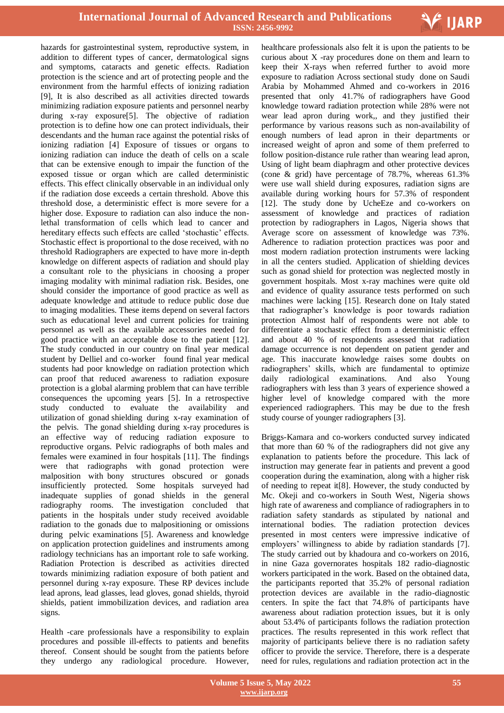

hazards for gastrointestinal system, reproductive system, in addition to different types of cancer, dermatological signs and symptoms, cataracts and genetic effects. Radiation protection is the science and art of protecting people and the environment from the harmful effects of ionizing radiation [9], It is also described as all activities directed towards minimizing radiation exposure patients and personnel nearby during x-ray exposure[5]. The objective of radiation protection is to define how one can protect individuals, their descendants and the human race against the potential risks of ionizing radiation [4] Exposure of tissues or organs to ionizing radiation can induce the death of cells on a scale that can be extensive enough to impair the function of the exposed tissue or organ which are called deterministic effects. This effect clinically observable in an individual only if the radiation dose exceeds a certain threshold. Above this threshold dose, a deterministic effect is more severe for a higher dose. Exposure to radiation can also induce the nonlethal transformation of cells which lead to cancer and hereditary effects such effects are called 'stochastic' effects. Stochastic effect is proportional to the dose received, with no threshold Radiographers are expected to have more in-depth knowledge on different aspects of radiation and should play a consultant role to the physicians in choosing a proper imaging modality with minimal radiation risk. Besides, one should consider the importance of good practice as well as adequate knowledge and attitude to reduce public dose due to imaging modalities. These items depend on several factors such as educational level and current policies for training personnel as well as the available accessories needed for good practice with an acceptable dose to the patient [12]. The study conducted in our country on final year medical student by Delliel and co-worker found final year medical students had poor knowledge on radiation protection which can proof that reduced awareness to radiation exposure protection is a global alarming problem that can have terrible consequences the upcoming years [5]. In a retrospective study conducted to evaluate the availability and utilization of gonad shielding during x-ray examination of the pelvis. The gonad shielding during x-ray procedures is an effective way of reducing radiation exposure to reproductive organs. Pelvic radiographs of both males and females were examined in four hospitals [11]. The findings were that radiographs with gonad protection were malposition with bony structures obscured or gonads insufficiently protected. Some hospitals surveyed had inadequate supplies of gonad shields in the general radiography rooms. The investigation concluded that patients in the hospitals under study received avoidable radiation to the gonads due to malpositioning or omissions during pelvic examinations [5]. Awareness and knowledge on application protection guidelines and instruments among radiology technicians has an important role to safe working. Radiation Protection is described as activities directed towards minimizing radiation exposure of both patient and personnel during x-ray exposure. These RP devices include lead aprons, lead glasses, lead gloves, gonad shields, thyroid shields, patient immobilization devices, and radiation area signs.

Health -care professionals have a responsibility to explain procedures and possible ill-effects to patients and benefits thereof. Consent should be sought from the patients before they undergo any radiological procedure. However,

 healthcare professionals also felt it is upon the patients to be curious about X -ray procedures done on them and learn to keep their X-rays when referred further to avoid more exposure to radiation Across sectional study done on Saudi Arabia by Mohammed Ahmed and co-workers in 2016 presented that only 41.7% of radiographers have Good knowledge toward radiation protection while 28% were not wear lead apron during work,, and they justified their performance by various reasons such as non-availability of enough numbers of lead apron in their departments or increased weight of apron and some of them preferred to follow position-distance rule rather than wearing lead apron. Using of light beam diaphragm and other protective devices (cone & grid) have percentage of 78.7%, whereas 61.3% were use wall shield during exposures, radiation signs are available during working hours for 57.3% of respondent [12]. The study done by UcheEze and co-workers on assessment of knowledge and practices of radiation protection by radiographers in Lagos, Nigeria shows that Average score on assessment of knowledge was 73%. Adherence to radiation protection practices was poor and most modern radiation protection instruments were lacking in all the centers studied. Application of shielding devices such as gonad shield for protection was neglected mostly in government hospitals. Most x-ray machines were quite old and evidence of quality assurance tests performed on such machines were lacking [15]. Research done on Italy stated that radiographer's knowledge is poor towards radiation protection Almost half of respondents were not able to differentiate a stochastic effect from a deterministic effect and about 40 % of respondents assessed that radiation damage occurrence is not dependent on patient gender and age. This inaccurate knowledge raises some doubts on radiographers' skills, which are fundamental to optimize daily radiological examinations. And also Young radiographers with less than 3 years of experience showed a higher level of knowledge compared with the more experienced radiographers. This may be due to the fresh study course of younger radiographers [3].

Briggs-Kamara and co-workers conducted survey indicated that more than 60 % of the radiographers did not give any explanation to patients before the procedure. This lack of instruction may generate fear in patients and prevent a good cooperation during the examination, along with a higher risk of needing to repeat it[8]. However, the study conducted by Mc. Okeji and co-workers in South West, Nigeria shows high rate of awareness and compliance of radiographers in to radiation safety standards as stipulated by national and international bodies. The radiation protection devices presented in most centers were impressive indicative of employers' willingness to abide by radiation standards [7]. The study carried out by khadoura and co-workers on 2016, in nine Gaza governorates hospitals 182 radio-diagnostic workers participated in the work. Based on the obtained data, the participants reported that 35.2% of personal radiation protection devices are available in the radio-diagnostic centers. In spite the fact that 74.8% of participants have awareness about radiation protection issues, but it is only about 53.4% of participants follows the radiation protection practices. The results represented in this work reflect that majority of participants believe there is no radiation safety officer to provide the service. Therefore, there is a desperate need for rules, regulations and radiation protection act in the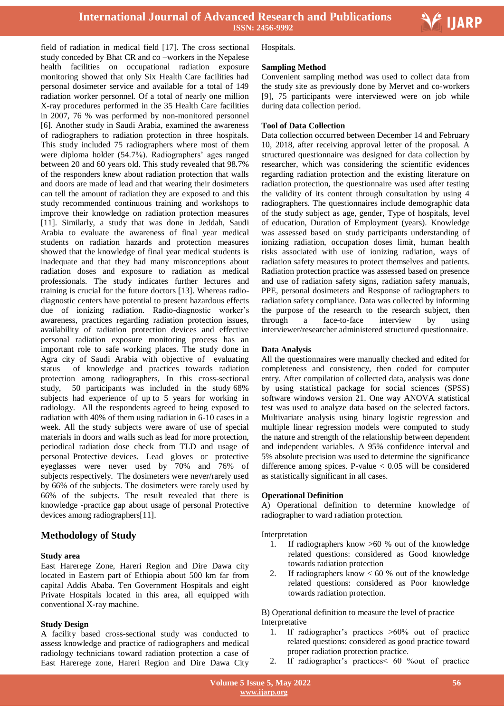

Ξ

field of radiation in medical field [17]. The cross sectional study conceded by Bhat CR and co –workers in the Nepalese health facilities on occupational radiation exposure monitoring showed that only Six Health Care facilities had personal dosimeter service and available for a total of 149 radiation worker personnel. Of a total of nearly one million X-ray procedures performed in the 35 Health Care facilities in 2007, 76 % was performed by non-monitored personnel [6]. Another study in Saudi Arabia, examined the awareness of radiographers to radiation protection in three hospitals. This study included 75 radiographers where most of them were diploma holder (54.7%). Radiographers' ages ranged between 20 and 60 years old. This study revealed that 98.7% of the responders knew about radiation protection that walls and doors are made of lead and that wearing their dosimeters can tell the amount of radiation they are exposed to and this study recommended continuous training and workshops to improve their knowledge on radiation protection measures [11]. Similarly, a study that was done in Jeddah, Saudi Arabia to evaluate the awareness of final year medical students on radiation hazards and protection measures showed that the knowledge of final year medical students is inadequate and that they had many misconceptions about radiation doses and exposure to radiation as medical professionals. The study indicates further lectures and training is crucial for the future doctors [13]. Whereas radiodiagnostic centers have potential to present hazardous effects due of ionizing radiation. Radio-diagnostic worker's awareness, practices regarding radiation protection issues, availability of radiation protection devices and effective personal radiation exposure monitoring process has an important role to safe working places. The study done in Agra city of Saudi Arabia with objective of evaluating status of knowledge and practices towards radiation protection among radiographers, In this cross-sectional study, 50 participants was included in the study 68% subjects had experience of up to 5 years for working in radiology. All the respondents agreed to being exposed to radiation with 40% of them using radiation in 6-10 cases in a week. All the study subjects were aware of use of special materials in doors and walls such as lead for more protection, periodical radiation dose check from TLD and usage of personal Protective devices. Lead gloves or protective eyeglasses were never used by 70% and 76% of subjects respectively. The dosimeters were never/rarely used by 66% of the subjects. The dosimeters were rarely used by 66% of the subjects. The result revealed that there is knowledge -practice gap about usage of personal Protective devices among radiographers[11].

# **Methodology of Study**

## **Study area**

East Harerege Zone, Hareri Region and Dire Dawa city located in Eastern part of Ethiopia about 500 km far from capital Addis Ababa. Ten Government Hospitals and eight Private Hospitals located in this area, all equipped with conventional X-ray machine.

## **Study Design**

A facility based cross-sectional study was conducted to assess knowledge and practice of radiographers and medical radiology technicians toward radiation protection a case of East Harerege zone, Hareri Region and Dire Dawa City

Hospitals.

## **Sampling Method**

Convenient sampling method was used to collect data from the study site as previously done by Mervet and co-workers [9], 75 participants were interviewed were on job while during data collection period.

## **Tool of Data Collection**

Data collection occurred between December 14 and February 10, 2018, after receiving approval letter of the proposal. A structured questionnaire was designed for data collection by researcher, which was considering the scientific evidences regarding radiation protection and the existing literature on radiation protection, the questionnaire was used after testing the validity of its content through consultation by using 4 radiographers. The questionnaires include demographic data of the study subject as age, gender, Type of hospitals, level of education, Duration of Employment (years). Knowledge was assessed based on study participants understanding of ionizing radiation, occupation doses limit, human health risks associated with use of ionizing radiation, ways of radiation safety measures to protect themselves and patients. Radiation protection practice was assessed based on presence and use of radiation safety signs, radiation safety manuals, PPE, personal dosimeters and Response of radiographers to radiation safety compliance. Data was collected by informing the purpose of the research to the research subject, then through a face-to-face interview by using interviewer/researcher administered structured questionnaire.

## **Data Analysis**

All the questionnaires were manually checked and edited for completeness and consistency, then coded for computer entry. After compilation of collected data, analysis was done by using statistical package for social sciences (SPSS) software windows version 21. One way ANOVA statistical test was used to analyze data based on the selected factors. Multivariate analysis using binary logistic regression and multiple linear regression models were computed to study the nature and strength of the relationship between dependent and independent variables. A 95% confidence interval and 5% absolute precision was used to determine the significance difference among spices. P-value < 0.05 will be considered as statistically significant in all cases.

### **Operational Definition**

A) Operational definition to determine knowledge of radiographer to ward radiation protection.

#### Interpretation

- 1. If radiographers know >60 % out of the knowledge related questions: considered as Good knowledge towards radiation protection
- 2. If radiographers know  $< 60$  % out of the knowledge related questions: considered as Poor knowledge towards radiation protection.

B) Operational definition to measure the level of practice Interpretative

- 1. If radiographer's practices >60% out of practice related questions: considered as good practice toward proper radiation protection practice.
- 2. If radiographer's practices< 60 %out of practice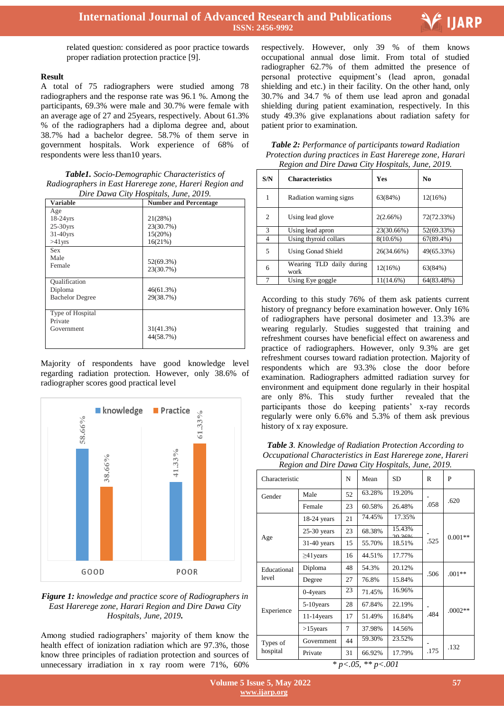

related question: considered as poor practice towards proper radiation protection practice [9].

## **Result**

A total of 75 radiographers were studied among 78 radiographers and the response rate was 96.1 %. Among the participants, 69.3% were male and 30.7% were female with an average age of 27 and 25years, respectively. About 61.3% % of the radiographers had a diploma degree and, about 38.7% had a bachelor degree. 58.7% of them serve in government hospitals. Work experience of 68% of respondents were less than10 years.

| Table1. Socio-Demographic Characteristics of           |
|--------------------------------------------------------|
| Radiographers in East Harerege zone, Hareri Region and |
| Dire Dawa City Hospitals, June, 2019.                  |

| <b>Variable</b>        | <b>Number and Percentage</b> |
|------------------------|------------------------------|
| Age                    |                              |
| $18-24$ yrs            | 21(28%)                      |
| $25-30$ yrs            | 23(30.7%)                    |
| $31-40$ yrs            | 15(20%)                      |
| $>41$ yrs              | 16(21%)                      |
| <b>Sex</b>             |                              |
| Male                   | 52(69.3%)                    |
| Female                 | 23(30.7%)                    |
|                        |                              |
| Qualification          |                              |
| Diploma                | 46(61.3%)                    |
| <b>Bachelor Degree</b> | 29(38.7%)                    |
|                        |                              |
| Type of Hospital       |                              |
| Private                |                              |
| Government             | 31(41.3%)                    |
|                        | 44(58.7%)                    |
|                        |                              |

Majority of respondents have good knowledge level regarding radiation protection. However, only 38.6% of radiographer scores good practical level



# *Figure 1: knowledge and practice score of Radiographers in East Harerege zone, Harari Region and Dire Dawa City Hospitals, June, 2019.*

Among studied radiographers' majority of them know the health effect of ionization radiation which are 97.3%, those know three principles of radiation protection and sources of unnecessary irradiation in x ray room were 71%, 60%

 respectively. However, only 39 % of them knows occupational annual dose limit. From total of studied radiographer 62.7% of them admitted the presence of personal protective equipment's (lead apron, gonadal shielding and etc.) in their facility. On the other hand, only 30.7% and 34.7 % of them use lead apron and gonadal shielding during patient examination, respectively. In this study 49.3% give explanations about radiation safety for patient prior to examination.

*Table 2: Performance of participants toward Radiation Protection during practices in East Harerege zone, Harari Region and Dire Dawa City Hospitals, June, 2019.*

| S/N | <b>Characteristics</b>              | <b>Yes</b>   | No           |
|-----|-------------------------------------|--------------|--------------|
|     | Radiation warning signs             | 63(84%)      | 12(16%)      |
| 2   | Using lead glove                    | 2(2.66%)     | 72(72.33%)   |
| 3   | Using lead apron                    | 23(30.66%)   | 52(69.33%)   |
| 4   | Using thyroid collars               | $8(10.6\%)$  | $67(89.4\%)$ |
| 5   | <b>Using Gonad Shield</b>           | 26(34.66%)   | 49(65.33%)   |
| 6   | TLD daily during<br>Wearing<br>work | 12(16%)      | 63(84%)      |
|     | Using Eye goggle                    | $11(14.6\%)$ | 64(83.48%)   |

According to this study 76% of them ask patients current history of pregnancy before examination however. Only 16% of radiographers have personal dosimeter and 13.3% are wearing regularly. Studies suggested that training and refreshment courses have beneficial effect on awareness and practice of radiographers. However, only 9.3% are get refreshment courses toward radiation protection. Majority of respondents which are 93.3% close the door before examination. Radiographers admitted radiation survey for environment and equipment done regularly in their hospital are only 8%. This study further revealed that the participants those do keeping patients' x-ray records regularly were only 6.6% and 5.3% of them ask previous history of x ray exposure.

*Table 3. Knowledge of Radiation Protection According to Occupational Characteristics in East Harerege zone, Hareri Region and Dire Dawa City Hospitals, June, 2019.*

| Characteristic       |                 | N  | Mean   | <b>SD</b>         | R    | P         |
|----------------------|-----------------|----|--------|-------------------|------|-----------|
| Gender               | Male            | 52 | 63.28% | 19.20%            |      | .620      |
|                      | Female          | 23 | 60.58% | 26.48%            | .058 |           |
| Age                  | $18-24$ years   | 21 | 74.45% | 17.35%            |      |           |
|                      | $25-30$ years   | 23 | 68.38% | 15.43%<br>2012.60 |      | $0.001**$ |
|                      | $31-40$ years   | 15 | 55.70% | 18.51%            | .525 |           |
|                      | $\geq$ 41 years | 16 | 44.51% | 17.77%            |      |           |
| Educational<br>level | Diploma         | 48 | 54.3%  | 20.12%            | .506 | $.001**$  |
|                      | Degree          | 27 | 76.8%  | 15.84%            |      |           |
| Experience           | $0-4$ years     | 23 | 71.45% | 16.96%            |      |           |
|                      | 5-10 years      | 28 | 67.84% | 22.19%            |      | $.0002**$ |
|                      | $11-14$ years   | 17 | 51.49% | 16.84%            | .484 |           |
|                      | $>15$ years     | 7  | 37.98% | 14.56%            |      |           |
| Types of<br>hospital | Government      | 44 | 59.30% | 23.52%            |      | .132      |
|                      | Private         | 31 | 66.92% | 17.79%            | .175 |           |

*\* p<.05, \*\* p<.001*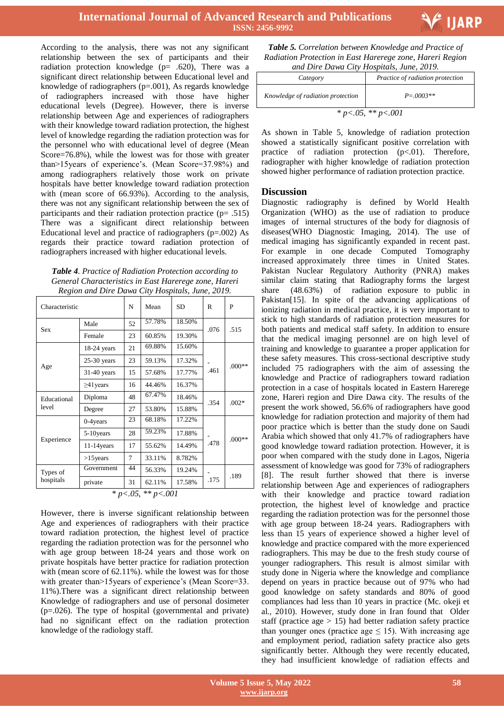

According to the analysis, there was not any significant relationship between the sex of participants and their radiation protection knowledge ( $p= .620$ ), There was a significant direct relationship between Educational level and knowledge of radiographers (p=.001), As regards knowledge of radiographers increased with those have higher educational levels (Degree). However, there is inverse relationship between Age and experiences of radiographers with their knowledge toward radiation protection, the highest level of knowledge regarding the radiation protection was for the personnel who with educational level of degree (Mean Score=76.8%), while the lowest was for those with greater than>15years of experience's. (Mean Score=37.98%) and among radiographers relatively those work on private hospitals have better knowledge toward radiation protection with (mean score of 66.93%). According to the analysis, there was not any significant relationship between the sex of participants and their radiation protection practice (p= .515) There was a significant direct relationship between Educational level and practice of radiographers (p=.002) As regards their practice toward radiation protection of radiographers increased with higher educational levels.

| Table 4. Practice of Radiation Protection according to |
|--------------------------------------------------------|
| General Characteristics in East Harerege zone, Hareri  |
| Region and Dire Dawa City Hospitals, June, 2019.       |

| Characteristic                 |                 | N  | Mean   | <b>SD</b> | R    | P        |
|--------------------------------|-----------------|----|--------|-----------|------|----------|
| <b>Sex</b>                     | Male            | 52 | 57.78% | 18.50%    | .076 | .515     |
|                                | Female          | 23 | 60.85% | 19.30%    |      |          |
|                                | 18-24 years     | 21 | 69.88% | 15.60%    |      |          |
|                                | 25-30 years     | 23 | 59.13% | 17.32%    |      | $.000**$ |
| Age                            | $31-40$ years   | 15 | 57.68% | 17.77%    | .461 |          |
|                                | $\geq$ 41 years | 16 | 44.46% | 16.37%    |      |          |
| Educational<br>level           | Diploma         | 48 | 67.47% | 18.46%    | .354 | $.002*$  |
|                                | Degree          | 27 | 53.80% | 15.88%    |      |          |
| Experience                     | $0-4$ years     | 23 | 68.18% | 17.22%    |      |          |
|                                | 5-10 years      | 28 | 59.23% | 17.88%    |      | $.000**$ |
|                                | $11-14$ years   | 17 | 55.62% | 14.49%    | .478 |          |
|                                | $>15$ years     | 7  | 33.11% | 8.782%    |      |          |
| Types of<br>hospitals          | Government      | 44 | 56.33% | 19.24%    |      |          |
|                                | private         | 31 | 62.11% | 17.58%    | .175 | .189     |
| ** $p < .001$<br>* $p < .05$ , |                 |    |        |           |      |          |

However, there is inverse significant relationship between Age and experiences of radiographers with their practice toward radiation protection, the highest level of practice regarding the radiation protection was for the personnel who with age group between 18-24 years and those work on private hospitals have better practice for radiation protection with (mean score of 62.11%), while the lowest was for those with greater than > 15 years of experience's (Mean Score=33. 11%).There was a significant direct relationship between Knowledge of radiographers and use of personal dosimeter (p=.026). The type of hospital (governmental and private) had no significant effect on the radiation protection knowledge of the radiology staff.

 *Table 5. Correlation between Knowledge and Practice of Radiation Protection in East Harerege zone, Hareri Region and Dire Dawa City Hospitals, June, 2019.*

| ana Dire Dawa Cuy Hosphais, June, 2017. |                                  |  |  |
|-----------------------------------------|----------------------------------|--|--|
| Category                                | Practice of radiation protection |  |  |
| Knowledge of radiation protection       | $P = 0.003**$                    |  |  |
| * $p < .05$ , ** $p < .001$             |                                  |  |  |

As shown in Table 5, knowledge of radiation protection showed a statistically significant positive correlation with practice of radiation protection (p<.01). Therefore, radiographer with higher knowledge of radiation protection showed higher performance of radiation protection practice.

# **Discussion**

Diagnostic radiography is defined by World Health Organization (WHO) as the use of radiation to produce images of internal structures of the body for diagnosis of diseases(WHO Diagnostic Imaging, 2014). The use of medical imaging has significantly expanded in recent past. For example in one decade Computed Tomography increased approximately three times in United States. Pakistan Nuclear Regulatory Authority (PNRA) makes similar claim stating that Radiography forms the largest share (48.63%) of radiation exposure to public in Pakistan<sup>[15]</sup>. In spite of the advancing applications of ionizing radiation in medical practice, it is very important to stick to high standards of radiation protection measures for both patients and medical staff safety. In addition to ensure that the medical imaging personnel are on high level of training and knowledge to guarantee a proper application for these safety measures. This cross-sectional descriptive study included 75 radiographers with the aim of assessing the knowledge and Practice of radiographers toward radiation protection in a case of hospitals located in Eastern Harerege zone, Hareri region and Dire Dawa city. The results of the present the work showed, 56.6% of radiographers have good knowledge for radiation protection and majority of them had poor practice which is better than the study done on Saudi Arabia which showed that only 41.7% of radiographers have good knowledge toward radiation protection. However, it is poor when compared with the study done in Lagos, Nigeria assessment of knowledge was good for 73% of radiographers [8]. The result further showed that there is inverse relationship between Age and experiences of radiographers with their knowledge and practice toward radiation protection, the highest level of knowledge and practice regarding the radiation protection was for the personnel those with age group between 18-24 years. Radiographers with less than 15 years of experience showed a higher level of knowledge and practice compared with the more experienced radiographers. This may be due to the fresh study course of younger radiographers. This result is almost similar with study done in Nigeria where the knowledge and compliance depend on years in practice because out of 97% who had good knowledge on safety standards and 80% of good compliances had less than 10 years in practice (Mc. okeji et al., 2010). However, study done in Iran found that Older staff (practice age  $> 15$ ) had better radiation safety practice than younger ones (practice age  $\leq$  15). With increasing age and employment period, radiation safety practice also gets significantly better. Although they were recently educated, they had insufficient knowledge of radiation effects and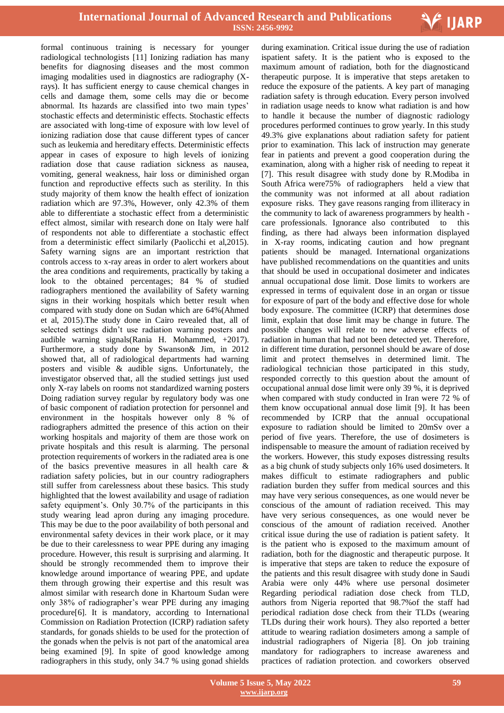

formal continuous training is necessary for younger radiological technologists [11] Ionizing radiation has many benefits for diagnosing diseases and the most common imaging modalities used in diagnostics are radiography (Xrays). It has sufficient energy to cause chemical changes in cells and damage them, some cells may die or become abnormal. Its hazards are classified into two main types' stochastic effects and deterministic effects. Stochastic effects are associated with long-time of exposure with low level of ionizing radiation dose that cause different types of cancer such as leukemia and hereditary effects. Deterministic effects appear in cases of exposure to high levels of ionizing radiation dose that cause radiation sickness as nausea, vomiting, general weakness, hair loss or diminished organ function and reproductive effects such as sterility. In this study majority of them know the health effect of ionization radiation which are 97.3%, However, only 42.3% of them able to differentiate a stochastic effect from a deterministic effect almost, similar with research done on Italy were half of respondents not able to differentiate a stochastic effect from a deterministic effect similarly (Paolicchi et al,2015). Safety warning signs are an important restriction that controls access to x-ray areas in order to alert workers about the area conditions and requirements, practically by taking a look to the obtained percentages; 84 % of studied radiographers mentioned the availability of Safety warning signs in their working hospitals which better result when compared with study done on Sudan which are 64%(Ahmed et al, 2015).The study done in Cairo revealed that, all of selected settings didn't use radiation warning posters and audible warning signals(Rania H. Mohammed, +2017). Furthermore, a study done by Swanson& Jim, in 2012 showed that, all of radiological departments had warning posters and visible & audible signs. Unfortunately, the investigator observed that, all the studied settings just used only X-ray labels on rooms not standardized warning posters Doing radiation survey regular by regulatory body was one of basic component of radiation protection for personnel and environment in the hospitals however only 8 % of radiographers admitted the presence of this action on their working hospitals and majority of them are those work on private hospitals and this result is alarming. The personal protection requirements of workers in the radiated area is one of the basics preventive measures in all health care & radiation safety policies, but in our country radiographers still suffer from carelessness about these basics. This study highlighted that the lowest availability and usage of radiation safety equipment's. Only 30.7% of the participants in this study wearing lead apron during any imaging procedure. This may be due to the poor availability of both personal and environmental safety devices in their work place, or it may be due to their carelessness to wear PPE during any imaging procedure. However, this result is surprising and alarming. It should be strongly recommended them to improve their knowledge around importance of wearing PPE, and update them through growing their expertise and this result was almost similar with research done in Khartoum Sudan were only 38% of radiographer's wear PPE during any imaging procedure[6]. It is mandatory, according to International Commission on Radiation Protection (ICRP) radiation safety standards, for gonads shields to be used for the protection of the gonads when the pelvis is not part of the anatomical area being examined [9]. In spite of good knowledge among radiographers in this study, only 34.7 % using gonad shields

 during examination. Critical issue during the use of radiation ispatient safety. It is the patient who is exposed to the maximum amount of radiation, both for the diagnosticand therapeutic purpose. It is imperative that steps aretaken to reduce the exposure of the patients. A key part of managing radiation safety is through education. Every person involved in radiation usage needs to know what radiation is and how to handle it because the number of diagnostic radiology procedures performed continues to grow yearly. In this study 49.3% give explanations about radiation safety for patient prior to examination. This lack of instruction may generate fear in patients and prevent a good cooperation during the examination, along with a higher risk of needing to repeat it [7]. This result disagree with study done by R.Modiba in South Africa were75% of radiographers held a view that the community was not informed at all about radiation exposure risks. They gave reasons ranging from illiteracy in the community to lack of awareness programmers by health care professionals. Ignorance also contributed to this finding, as there had always been information displayed in X-ray rooms, indicating caution and how pregnant patients should be managed. International organizations have published recommendations on the quantities and units that should be used in occupational dosimeter and indicates annual occupational dose limit. Dose limits to workers are expressed in terms of equivalent dose in an organ or tissue for exposure of part of the body and effective dose for whole body exposure. The committee (ICRP) that determines dose limit, explain that dose limit may be change in future. The possible changes will relate to new adverse effects of radiation in human that had not been detected yet. Therefore, in different time duration, personnel should be aware of dose limit and protect themselves in determined limit. The radiological technician those participated in this study, responded correctly to this question about the amount of occupational annual dose limit were only 39 %, it is deprived when compared with study conducted in Iran were 72 % of them know occupational annual dose limit [9]. It has been recommended by ICRP that the annual occupational exposure to radiation should be limited to 20mSv over a period of five years. Therefore, the use of dosimeters is indispensable to measure the amount of radiation received by the workers. However, this study exposes distressing results as a big chunk of study subjects only 16% used dosimeters. It makes difficult to estimate radiographers and public radiation burden they suffer from medical sources and this may have very serious consequences, as one would never be conscious of the amount of radiation received. This may have very serious consequences, as one would never be conscious of the amount of radiation received. Another critical issue during the use of radiation is patient safety. It is the patient who is exposed to the maximum amount of radiation, both for the diagnostic and therapeutic purpose. It is imperative that steps are taken to reduce the exposure of the patients and this result disagree with study done in Saudi Arabia were only 44% where use personal dosimeter Regarding periodical radiation dose check from TLD, authors from Nigeria reported that 98.7%of the staff had periodical radiation dose check from their TLDs (wearing TLDs during their work hours). They also reported a better attitude to wearing radiation dosimeters among a sample of industrial radiographers of Nigeria [8]. On job training mandatory for radiographers to increase awareness and practices of radiation protection. and coworkers observed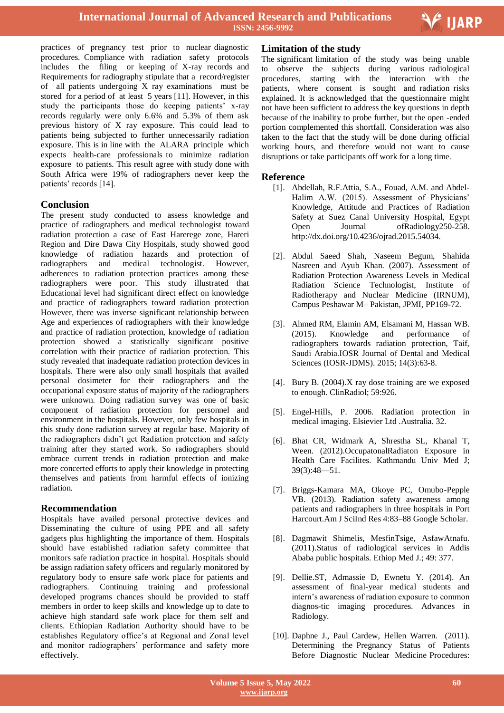

Ξ

practices of pregnancy test prior to nuclear diagnostic procedures. Compliance with radiation safety protocols includes the filing or keeping of X-ray records and Requirements for radiography stipulate that a record/register of all patients undergoing X ray examinations must be stored for a period of at least 5 years [11]. However, in this study the participants those do keeping patients' x-ray records regularly were only 6.6% and 5.3% of them ask previous history of X ray exposure. This could lead to patients being subjected to further unnecessarily radiation exposure. This is in line with the ALARA principle which expects health-care professionals to minimize radiation exposure to patients. This result agree with study done with South Africa were 19% of radiographers never keep the patients' records [14].

# **Conclusion**

The present study conducted to assess knowledge and practice of radiographers and medical technologist toward radiation protection a case of East Harerege zone, Hareri Region and Dire Dawa City Hospitals, study showed good knowledge of radiation hazards and protection of radiographers and medical technologist. However, adherences to radiation protection practices among these radiographers were poor. This study illustrated that Educational level had significant direct effect on knowledge and practice of radiographers toward radiation protection However, there was inverse significant relationship between Age and experiences of radiographers with their knowledge and practice of radiation protection, knowledge of radiation protection showed a statistically significant positive correlation with their practice of radiation protection. This study revealed that inadequate radiation protection devices in hospitals. There were also only small hospitals that availed personal dosimeter for their radiographers and the occupational exposure status of majority of the radiographers were unknown. Doing radiation survey was one of basic component of radiation protection for personnel and environment in the hospitals. However, only few hospitals in this study done radiation survey at regular base. Majority of the radiographers didn't get Radiation protection and safety training after they started work. So radiographers should embrace current trends in radiation protection and make more concerted efforts to apply their knowledge in protecting themselves and patients from harmful effects of ionizing radiation.

# **Recommendation**

Hospitals have availed personal protective devices and Disseminating the culture of using PPE and all safety gadgets plus highlighting the importance of them. Hospitals should have established radiation safety committee that monitors safe radiation practice in hospital. Hospitals should be assign radiation safety officers and regularly monitored by regulatory body to ensure safe work place for patients and radiographers. Continuing training and professional developed programs chances should be provided to staff members in order to keep skills and knowledge up to date to achieve high standard safe work place for them self and clients. Ethiopian Radiation Authority should have to be establishes Regulatory office's at Regional and Zonal level and monitor radiographers' performance and safety more effectively.

# **Limitation of the study**

The significant limitation of the study was being unable to observe the subjects during various radiological procedures, starting with the interaction with the patients, where consent is sought and radiation risks explained. It is acknowledged that the questionnaire might not have been sufficient to address the key questions in depth because of the inability to probe further, but the open -ended portion complemented this shortfall. Consideration was also taken to the fact that the study will be done during official working hours, and therefore would not want to cause disruptions or take participants off work for a long time.

# **Reference**

- [1]. Abdellah, R.F.Attia, S.A., Fouad, A.M. and Abdel-Halim A.W. (2015). Assessment of Physicians' Knowledge, Attitude and Practices of Radiation Safety at Suez Canal University Hospital, Egypt Open Journal ofRadiology250-258. http://dx.doi.org/10.4236/ojrad.2015.54034.
- [2]. Abdul Saeed Shah, Naseem Begum, Shahida Nasreen and Ayub Khan. (2007). Assessment of Radiation Protection Awareness Levels in Medical Radiation Science Technologist, Institute of Radiotherapy and Nuclear Medicine (IRNUM), Campus Peshawar M– Pakistan, JPMI, PP169-72.
- [3]. Ahmed RM, Elamin AM, Elsamani M, Hassan WB. (2015). Knowledge and performance of radiographers towards radiation protection, Taif, Saudi Arabia.IOSR Journal of Dental and Medical Sciences (IOSR-JDMS). 2015; 14(3):63-8.
- [4]. Bury B. (2004).X ray dose training are we exposed to enough. ClinRadiol; 59:926.
- [5]. Engel-Hills, P. 2006. Radiation protection in medical imaging. Elsievier Ltd .Australia. 32.
- [6]. Bhat CR, Widmark A, Shrestha SL, Khanal T, Ween. (2012).OccupatonalRadiaton Exposure in Health Care Facilites. Kathmandu Univ Med J; 39(3):48—51.
- [7]. Briggs-Kamara MA, Okoye PC, Omubo-Pepple VB. (2013). Radiation safety awareness among patients and radiographers in three hospitals in Port Harcourt.Am J SciInd Res 4:83–88 Google Scholar.
- [8]. Dagmawit Shimelis, MesfinTsige, AsfawAtnafu. (2011).Status of radiological services in Addis Ababa public hospitals. Ethiop Med J.; 49: 377.
- [9]. Dellie.ST, Admassie D, Ewnetu Y. (2014). An assessment of final-year medical students and intern's awareness of radiation exposure to common diagnos-tic imaging procedures. Advances in Radiology.
- [10]. Daphne J., Paul Cardew, Hellen Warren. (2011). Determining the Pregnancy Status of Patients Before Diagnostic Nuclear Medicine Procedures: